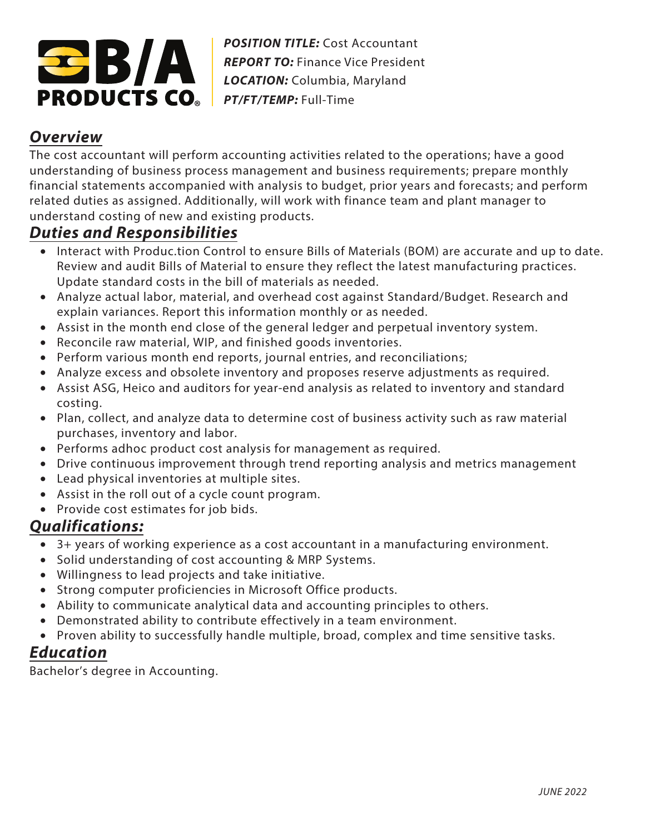

*POSITION TITLE:* Cost Accountant **REPORT TO: Finance Vice President** *LOCATION:* Columbia, Maryland *PT/FT/TEMP:* Full-Time

## **Overview**

The cost accountant will perform accounting activities related to the operations; have a good understanding of business process management and business requirements; prepare monthly financial statements accompanied with analysis to budget, prior years and forecasts; and perform related duties as assigned. Additionally, will work with finance team and plant manager to understand costing of new and existing products.

## **Duties and Responsibilities**

- Interact with Produc.tion Control to ensure Bills of Materials (BOM) are accurate and up to date. Review and audit Bills of Material to ensure they reflect the latest manufacturing practices. Update standard costs in the bill of materials as needed.
- Analyze actual labor, material, and overhead cost against Standard/Budget. Research and explain variances. Report this information monthly or as needed.
- Assist in the month end close of the general ledger and perpetual inventory system.
- Reconcile raw material, WIP, and finished goods inventories.
- Perform various month end reports, journal entries, and reconciliations;
- Analyze excess and obsolete inventory and proposes reserve adjustments as required.
- Assist ASG, Heico and auditors for year-end analysis as related to inventory and standard costing.
- Plan, collect, and analyze data to determine cost of business activity such as raw material purchases, inventory and labor.
- Performs adhoc product cost analysis for management as required.
- Drive continuous improvement through trend reporting analysis and metrics management
- Lead physical inventories at multiple sites.
- Assist in the roll out of a cycle count program.
- Provide cost estimates for job bids.

## **Qualifications:**

- 3+ years of working experience as a cost accountant in a manufacturing environment.
- Solid understanding of cost accounting & MRP Systems.
- Willingness to lead projects and take initiative.
- Strong computer proficiencies in Microsoft Office products.
- Ability to communicate analytical data and accounting principles to others.
- Demonstrated ability to contribute effectively in a team environment.
- Proven ability to successfully handle multiple, broad, complex and time sensitive tasks.

## **Education**

Bachelor's degree in Accounting.